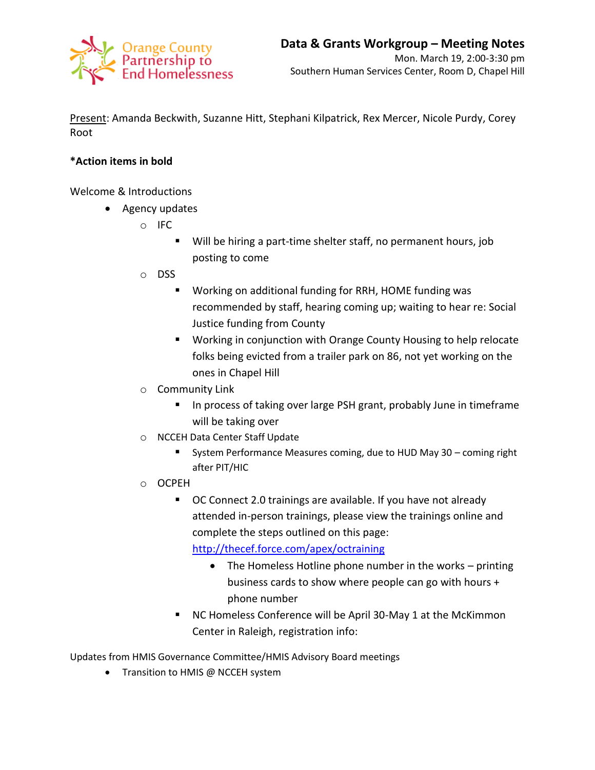

Present: Amanda Beckwith, Suzanne Hitt, Stephani Kilpatrick, Rex Mercer, Nicole Purdy, Corey Root

## **\*Action items in bold**

Welcome & Introductions

- Agency updates
	- o IFC
		- Will be hiring a part-time shelter staff, no permanent hours, job posting to come
	- o DSS
		- Working on additional funding for RRH, HOME funding was recommended by staff, hearing coming up; waiting to hear re: Social Justice funding from County
		- **Working in conjunction with Orange County Housing to help relocate** folks being evicted from a trailer park on 86, not yet working on the ones in Chapel Hill
	- o Community Link
		- **IF In process of taking over large PSH grant, probably June in timeframe** will be taking over
	- o NCCEH Data Center Staff Update
		- System Performance Measures coming, due to HUD May 30 coming right after PIT/HIC
	- o OCPEH
		- OC Connect 2.0 trainings are available. If you have not already attended in-person trainings, please view the trainings online and complete the steps outlined on this page: <http://thecef.force.com/apex/octraining>
			- The Homeless Hotline phone number in the works printing business cards to show where people can go with hours + phone number
		- NC Homeless Conference will be April 30-May 1 at the McKimmon Center in Raleigh, registration info:

Updates from HMIS Governance Committee/HMIS Advisory Board meetings

• Transition to HMIS @ NCCEH system